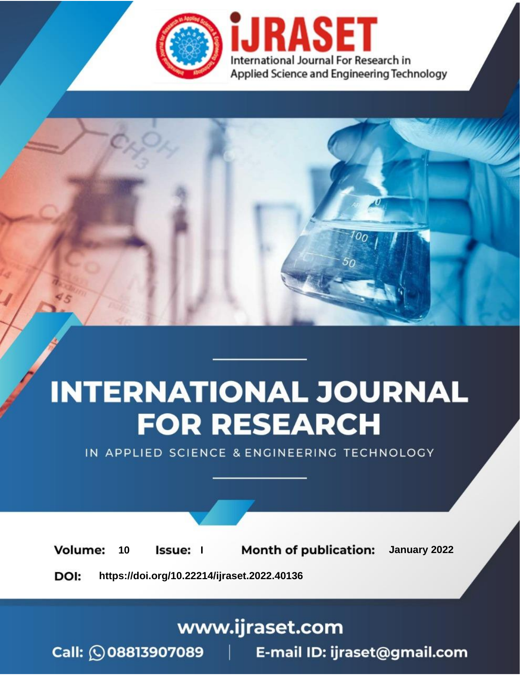

# **INTERNATIONAL JOURNAL FOR RESEARCH**

IN APPLIED SCIENCE & ENGINEERING TECHNOLOGY

**Month of publication:** January 2022 **Volume:** 10 **Issue:** I

DOI: https://doi.org/10.22214/ijraset.2022.40136

www.ijraset.com

 $Call: \bigcirc$ 08813907089 E-mail ID: ijraset@gmail.com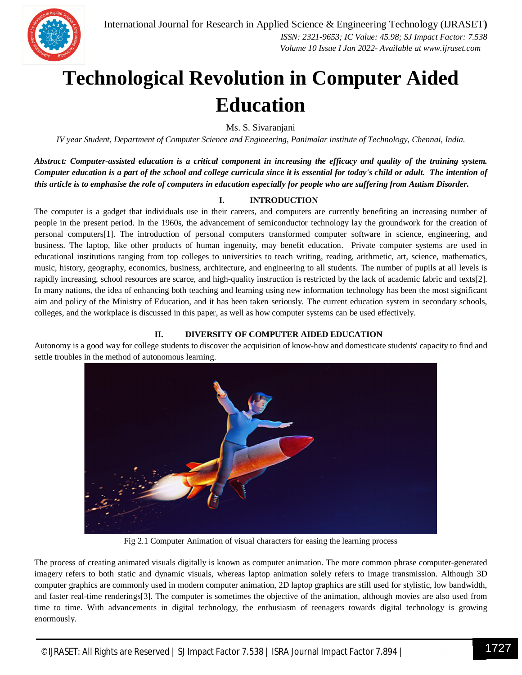

### **Technological Revolution in Computer Aided Education**

Ms. S. Sivaranjani

*IV year Student, Department of Computer Science and Engineering, Panimalar institute of Technology, Chennai, India.*

*Abstract: Computer-assisted education is a critical component in increasing the efficacy and quality of the training system. Computer education is a part of the school and college curricula since it is essential for today's child or adult. The intention of this article is to emphasise the role of computers in education especially for people who are suffering from Autism Disorder.*

#### **I. INTRODUCTION**

The computer is a gadget that individuals use in their careers, and computers are currently benefiting an increasing number of people in the present period. In the 1960s, the advancement of semiconductor technology lay the groundwork for the creation of personal computers[1]. The introduction of personal computers transformed computer software in science, engineering, and business. The laptop, like other products of human ingenuity, may benefit education. Private computer systems are used in educational institutions ranging from top colleges to universities to teach writing, reading, arithmetic, art, science, mathematics, music, history, geography, economics, business, architecture, and engineering to all students. The number of pupils at all levels is rapidly increasing, school resources are scarce, and high-quality instruction is restricted by the lack of academic fabric and texts[2]. In many nations, the idea of enhancing both teaching and learning using new information technology has been the most significant aim and policy of the Ministry of Education, and it has been taken seriously. The current education system in secondary schools, colleges, and the workplace is discussed in this paper, as well as how computer systems can be used effectively.

#### **II. DIVERSITY OF COMPUTER AIDED EDUCATION**

Autonomy is a good way for college students to discover the acquisition of know-how and domesticate students' capacity to find and settle troubles in the method of autonomous learning.



Fig 2.1 Computer Animation of visual characters for easing the learning process

The process of creating animated visuals digitally is known as computer animation. The more common phrase computer-generated imagery refers to both static and dynamic visuals, whereas laptop animation solely refers to image transmission. Although 3D computer graphics are commonly used in modern computer animation, 2D laptop graphics are still used for stylistic, low bandwidth, and faster real-time renderings[3]. The computer is sometimes the objective of the animation, although movies are also used from time to time. With advancements in digital technology, the enthusiasm of teenagers towards digital technology is growing enormously.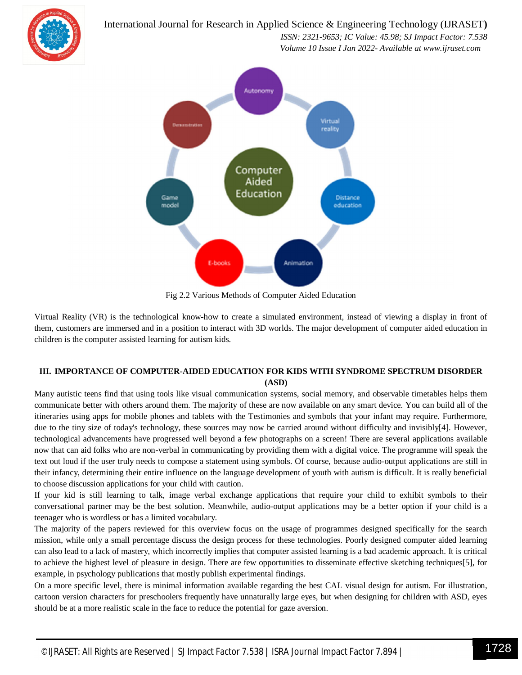International Journal for Research in Applied Science & Engineering Technology (IJRASET**)**



 *ISSN: 2321-9653; IC Value: 45.98; SJ Impact Factor: 7.538 Volume 10 Issue I Jan 2022- Available at www.ijraset.com*



Fig 2.2 Various Methods of Computer Aided Education

Virtual Reality (VR) is the technological know-how to create a simulated environment, instead of viewing a display in front of them, customers are immersed and in a position to interact with 3D worlds. The major development of computer aided education in children is the computer assisted learning for autism kids.

#### **III. IMPORTANCE OF COMPUTER-AIDED EDUCATION FOR KIDS WITH SYNDROME SPECTRUM DISORDER (ASD)**

Many autistic teens find that using tools like visual communication systems, social memory, and observable timetables helps them communicate better with others around them. The majority of these are now available on any smart device. You can build all of the itineraries using apps for mobile phones and tablets with the Testimonies and symbols that your infant may require. Furthermore, due to the tiny size of today's technology, these sources may now be carried around without difficulty and invisibly[4]. However, technological advancements have progressed well beyond a few photographs on a screen! There are several applications available now that can aid folks who are non-verbal in communicating by providing them with a digital voice. The programme will speak the text out loud if the user truly needs to compose a statement using symbols. Of course, because audio-output applications are still in their infancy, determining their entire influence on the language development of youth with autism is difficult. It is really beneficial to choose discussion applications for your child with caution.

If your kid is still learning to talk, image verbal exchange applications that require your child to exhibit symbols to their conversational partner may be the best solution. Meanwhile, audio-output applications may be a better option if your child is a teenager who is wordless or has a limited vocabulary.

The majority of the papers reviewed for this overview focus on the usage of programmes designed specifically for the search mission, while only a small percentage discuss the design process for these technologies. Poorly designed computer aided learning can also lead to a lack of mastery, which incorrectly implies that computer assisted learning is a bad academic approach. It is critical to achieve the highest level of pleasure in design. There are few opportunities to disseminate effective sketching techniques[5], for example, in psychology publications that mostly publish experimental findings.

On a more specific level, there is minimal information available regarding the best CAL visual design for autism. For illustration, cartoon version characters for preschoolers frequently have unnaturally large eyes, but when designing for children with ASD, eyes should be at a more realistic scale in the face to reduce the potential for gaze aversion.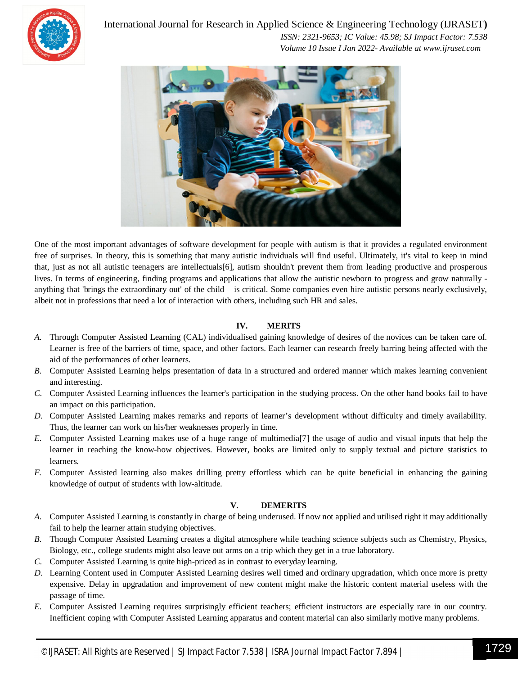

International Journal for Research in Applied Science & Engineering Technology (IJRASET**)**

 *ISSN: 2321-9653; IC Value: 45.98; SJ Impact Factor: 7.538 Volume 10 Issue I Jan 2022- Available at www.ijraset.com*



One of the most important advantages of software development for people with autism is that it provides a regulated environment free of surprises. In theory, this is something that many autistic individuals will find useful. Ultimately, it's vital to keep in mind that, just as not all autistic teenagers are intellectuals[6], autism shouldn't prevent them from leading productive and prosperous lives. In terms of engineering, finding programs and applications that allow the autistic newborn to progress and grow naturally anything that 'brings the extraordinary out' of the child – is critical. Some companies even hire autistic persons nearly exclusively, albeit not in professions that need a lot of interaction with others, including such HR and sales.

#### **IV. MERITS**

- *A.* Through Computer Assisted Learning (CAL) individualised gaining knowledge of desires of the novices can be taken care of. Learner is free of the barriers of time, space, and other factors. Each learner can research freely barring being affected with the aid of the performances of other learners.
- *B.* Computer Assisted Learning helps presentation of data in a structured and ordered manner which makes learning convenient and interesting.
- *C.* Computer Assisted Learning influences the learner's participation in the studying process. On the other hand books fail to have an impact on this participation.
- *D.* Computer Assisted Learning makes remarks and reports of learner's development without difficulty and timely availability. Thus, the learner can work on his/her weaknesses properly in time.
- *E.* Computer Assisted Learning makes use of a huge range of multimedia[7] the usage of audio and visual inputs that help the learner in reaching the know-how objectives. However, books are limited only to supply textual and picture statistics to learners.
- *F.* Computer Assisted learning also makes drilling pretty effortless which can be quite beneficial in enhancing the gaining knowledge of output of students with low-altitude.

#### **V. DEMERITS**

- *A.* Computer Assisted Learning is constantly in charge of being underused. If now not applied and utilised right it may additionally fail to help the learner attain studying objectives.
- *B.* Though Computer Assisted Learning creates a digital atmosphere while teaching science subjects such as Chemistry, Physics, Biology, etc., college students might also leave out arms on a trip which they get in a true laboratory.
- *C.* Computer Assisted Learning is quite high-priced as in contrast to everyday learning.
- *D.* Learning Content used in Computer Assisted Learning desires well timed and ordinary upgradation, which once more is pretty expensive. Delay in upgradation and improvement of new content might make the historic content material useless with the passage of time.
- *E.* Computer Assisted Learning requires surprisingly efficient teachers; efficient instructors are especially rare in our country. Inefficient coping with Computer Assisted Learning apparatus and content material can also similarly motive many problems.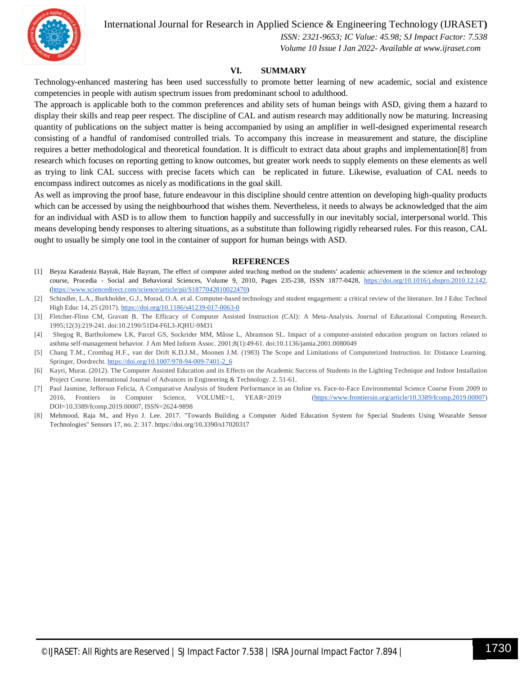International Journal for Research in Applied Science & Engineering Technology (IJRASET**)**



 *ISSN: 2321-9653; IC Value: 45.98; SJ Impact Factor: 7.538 Volume 10 Issue I Jan 2022- Available at www.ijraset.com*

#### **VI. SUMMARY**

Technology-enhanced mastering has been used successfully to promote better learning of new academic, social and existence competencies in people with autism spectrum issues from predominant school to adulthood.

The approach is applicable both to the common preferences and ability sets of human beings with ASD, giving them a hazard to display their skills and reap peer respect. The discipline of CAL and autism research may additionally now be maturing. Increasing quantity of publications on the subject matter is being accompanied by using an amplifier in well-designed experimental research consisting of a handful of randomised controlled trials. To accompany this increase in measurement and stature, the discipline requires a better methodological and theoretical foundation. It is difficult to extract data about graphs and implementation[8] from research which focuses on reporting getting to know outcomes, but greater work needs to supply elements on these elements as well as trying to link CAL success with precise facets which can be replicated in future. Likewise, evaluation of CAL needs to encompass indirect outcomes as nicely as modifications in the goal skill.

As well as improving the proof base, future endeavour in this discipline should centre attention on developing high-quality products which can be accessed by using the neighbourhood that wishes them. Nevertheless, it needs to always be acknowledged that the aim for an individual with ASD is to allow them to function happily and successfully in our inevitably social, interpersonal world. This means developing bendy responses to altering situations, as a substitute than following rigidly rehearsed rules. For this reason, CAL ought to usually be simply one tool in the container of support for human beings with ASD.

#### **REFERENCES**

- [1] Beyza Karadeniz Bayrak, Hale Bayram, The effect of computer aided teaching method on the students' academic achievement in the science and technology course, Procedia - Social and Behavioral Sciences, Volume 9, 2010, Pages 235-238, ISSN 1877-0428, https://doi.org/10.1016/j.sbspro.2010.12.142. (https://www.sciencedirect.com/science/article/pii/S1877042810022470)
- [2] Schindler, L.A., Burkholder, G.J., Morad, O.A. et al. Computer-based technology and student engagement: a critical review of the literature. Int J Educ Technol High Educ 14, 25 (2017). https://doi.org/10.1186/s41239-017-0063-0
- [3] Fletcher-Flinn CM, Gravatt B. The Efficacy of Computer Assisted Instruction (CAI): A Meta-Analysis. Journal of Educational Computing Research. 1995;12(3):219-241. doi:10.2190/51D4-F6L3-JQHU-9M31
- [4] Shegog R, Bartholomew LK, Parcel GS, Sockrider MM, Mâsse L, Abramson SL. Impact of a computer-assisted education program on factors related to asthma self-management behavior. J Am Med Inform Assoc. 2001;8(1):49-61. doi:10.1136/jamia.2001.0080049
- [5] Chang T.M., Crombag H.F., van der Drift K.D.J.M., Moonen J.M. (1983) The Scope and Limitations of Computerized Instruction. In: Distance Learning. Springer, Dordrecht. https://doi.org/10.1007/978-94-009-7401-2\_6
- [6] Kayri, Murat. (2012). The Computer Assisted Education and its Effects on the Academic Success of Students in the Lighting Technique and Indoor Installation Project Course. International Journal of Advances in Engineering & Technology. 2. 51-61.
- [7] Paul Jasmine, Jefferson Felicia, A Comparative Analysis of Student Performance in an Online vs. Face-to-Face Environmental Science Course From 2009 to 2016, Frontiers in Computer Science, VOLUME=1, YEAR=2019 (https://www.frontiersin.org/article/10.3389/fcomp.2019.00007) DOI=10.3389/fcomp.2019.00007, ISSN=2624-9898
- [8] Mehmood, Raja M., and Hyo J. Lee. 2017. "Towards Building a Computer Aided Education System for Special Students Using Wearable Sensor Technologies" Sensors 17, no. 2: 317. https://doi.org/10.3390/s17020317